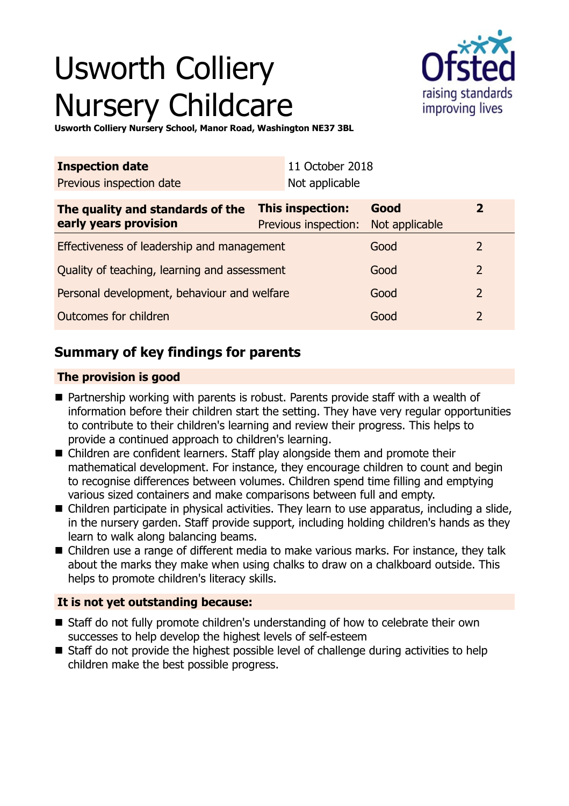# Usworth Colliery Nursery Childcare



**Usworth Colliery Nursery School, Manor Road, Washington NE37 3BL**

| <b>Inspection date</b>                                    |                                          | 11 October 2018 |                        |                |  |
|-----------------------------------------------------------|------------------------------------------|-----------------|------------------------|----------------|--|
| Previous inspection date                                  |                                          | Not applicable  |                        |                |  |
| The quality and standards of the<br>early years provision | This inspection:<br>Previous inspection: |                 | Good<br>Not applicable | $\overline{2}$ |  |
| Effectiveness of leadership and management                |                                          |                 | Good                   | 2              |  |
| Quality of teaching, learning and assessment              |                                          |                 | Good                   | 2              |  |
| Personal development, behaviour and welfare               |                                          |                 | Good                   | 2              |  |
| Outcomes for children                                     |                                          |                 | Good                   | 2              |  |

# **Summary of key findings for parents**

### **The provision is good**

- $\blacksquare$  Partnership working with parents is robust. Parents provide staff with a wealth of information before their children start the setting. They have very regular opportunities to contribute to their children's learning and review their progress. This helps to provide a continued approach to children's learning.
- Children are confident learners. Staff play alongside them and promote their mathematical development. For instance, they encourage children to count and begin to recognise differences between volumes. Children spend time filling and emptying various sized containers and make comparisons between full and empty.
- $\blacksquare$  Children participate in physical activities. They learn to use apparatus, including a slide, in the nursery garden. Staff provide support, including holding children's hands as they learn to walk along balancing beams.
- Children use a range of different media to make various marks. For instance, they talk about the marks they make when using chalks to draw on a chalkboard outside. This helps to promote children's literacy skills.

### **It is not yet outstanding because:**

- Staff do not fully promote children's understanding of how to celebrate their own successes to help develop the highest levels of self-esteem
- Staff do not provide the highest possible level of challenge during activities to help children make the best possible progress.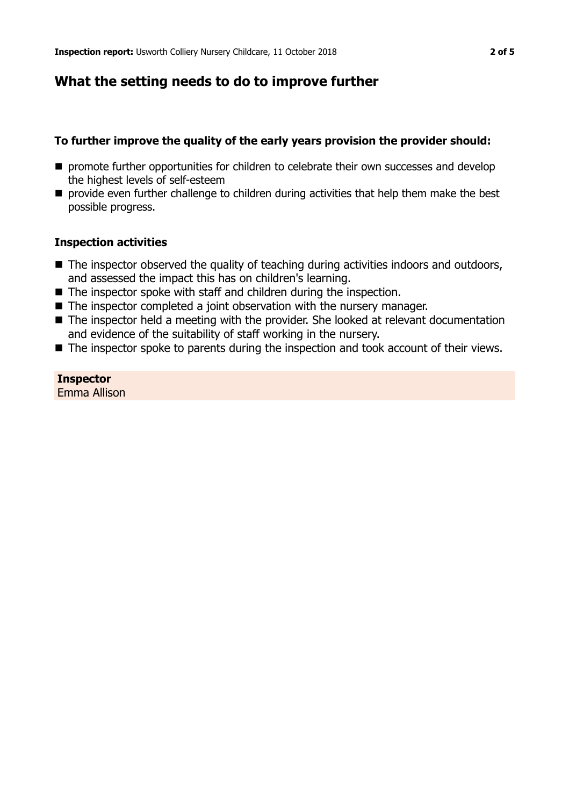## **What the setting needs to do to improve further**

### **To further improve the quality of the early years provision the provider should:**

- **n** promote further opportunities for children to celebrate their own successes and develop the highest levels of self-esteem
- $\blacksquare$  provide even further challenge to children during activities that help them make the best possible progress.

#### **Inspection activities**

- $\blacksquare$  The inspector observed the quality of teaching during activities indoors and outdoors, and assessed the impact this has on children's learning.
- $\blacksquare$  The inspector spoke with staff and children during the inspection.
- $\blacksquare$  The inspector completed a joint observation with the nursery manager.
- $\blacksquare$  The inspector held a meeting with the provider. She looked at relevant documentation and evidence of the suitability of staff working in the nursery.
- $\blacksquare$  The inspector spoke to parents during the inspection and took account of their views.

# **Inspector**

Emma Allison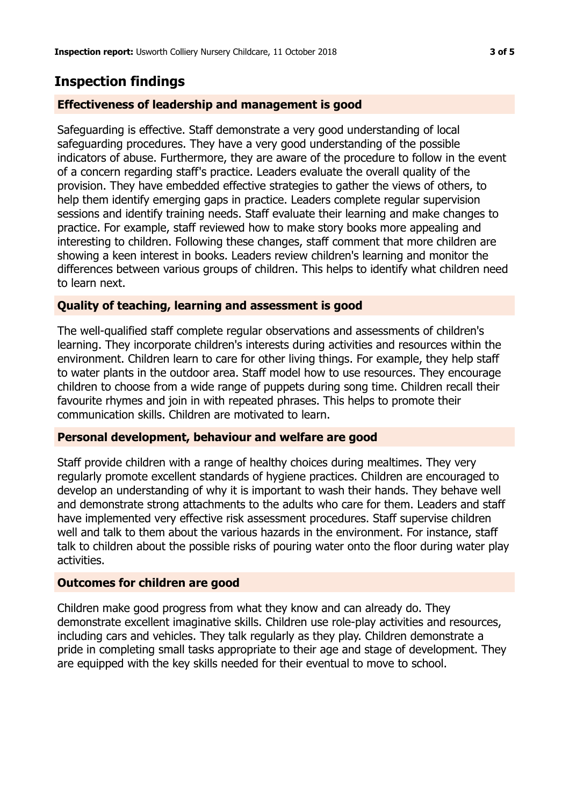# **Inspection findings**

### **Effectiveness of leadership and management is good**

Safeguarding is effective. Staff demonstrate a very good understanding of local safeguarding procedures. They have a very good understanding of the possible indicators of abuse. Furthermore, they are aware of the procedure to follow in the event of a concern regarding staff's practice. Leaders evaluate the overall quality of the provision. They have embedded effective strategies to gather the views of others, to help them identify emerging gaps in practice. Leaders complete regular supervision sessions and identify training needs. Staff evaluate their learning and make changes to practice. For example, staff reviewed how to make story books more appealing and interesting to children. Following these changes, staff comment that more children are showing a keen interest in books. Leaders review children's learning and monitor the differences between various groups of children. This helps to identify what children need to learn next.

### **Quality of teaching, learning and assessment is good**

The well-qualified staff complete regular observations and assessments of children's learning. They incorporate children's interests during activities and resources within the environment. Children learn to care for other living things. For example, they help staff to water plants in the outdoor area. Staff model how to use resources. They encourage children to choose from a wide range of puppets during song time. Children recall their favourite rhymes and join in with repeated phrases. This helps to promote their communication skills. Children are motivated to learn.

### **Personal development, behaviour and welfare are good**

Staff provide children with a range of healthy choices during mealtimes. They very regularly promote excellent standards of hygiene practices. Children are encouraged to develop an understanding of why it is important to wash their hands. They behave well and demonstrate strong attachments to the adults who care for them. Leaders and staff have implemented very effective risk assessment procedures. Staff supervise children well and talk to them about the various hazards in the environment. For instance, staff talk to children about the possible risks of pouring water onto the floor during water play activities.

### **Outcomes for children are good**

Children make good progress from what they know and can already do. They demonstrate excellent imaginative skills. Children use role-play activities and resources, including cars and vehicles. They talk regularly as they play. Children demonstrate a pride in completing small tasks appropriate to their age and stage of development. They are equipped with the key skills needed for their eventual to move to school.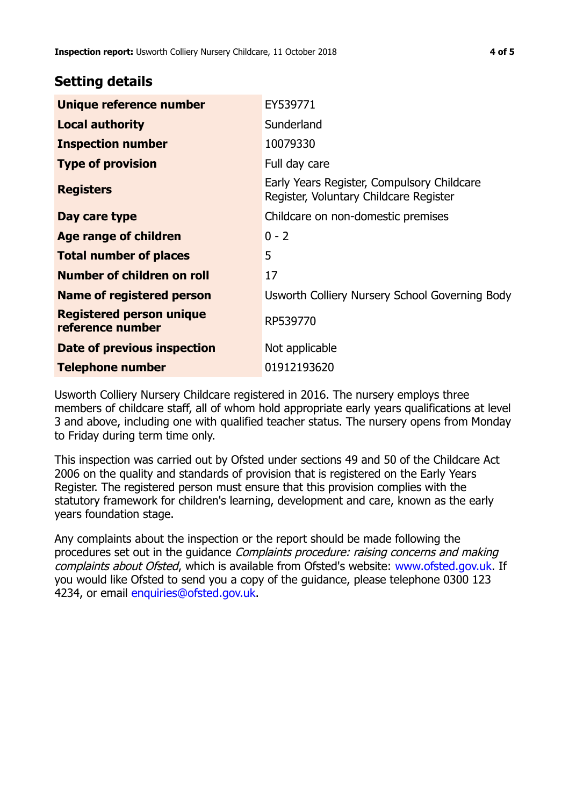### **Setting details**

| Unique reference number                             | EY539771                                                                             |
|-----------------------------------------------------|--------------------------------------------------------------------------------------|
| <b>Local authority</b>                              | Sunderland                                                                           |
| <b>Inspection number</b>                            | 10079330                                                                             |
| <b>Type of provision</b>                            | Full day care                                                                        |
| <b>Registers</b>                                    | Early Years Register, Compulsory Childcare<br>Register, Voluntary Childcare Register |
| Day care type                                       | Childcare on non-domestic premises                                                   |
| Age range of children                               | $0 - 2$                                                                              |
| <b>Total number of places</b>                       | 5                                                                                    |
| Number of children on roll                          | 17                                                                                   |
| Name of registered person                           | Usworth Colliery Nursery School Governing Body                                       |
| <b>Registered person unique</b><br>reference number | RP539770                                                                             |
| Date of previous inspection                         | Not applicable                                                                       |
| <b>Telephone number</b>                             | 01912193620                                                                          |

Usworth Colliery Nursery Childcare registered in 2016. The nursery employs three members of childcare staff, all of whom hold appropriate early years qualifications at level 3 and above, including one with qualified teacher status. The nursery opens from Monday to Friday during term time only.

This inspection was carried out by Ofsted under sections 49 and 50 of the Childcare Act 2006 on the quality and standards of provision that is registered on the Early Years Register. The registered person must ensure that this provision complies with the statutory framework for children's learning, development and care, known as the early years foundation stage.

Any complaints about the inspection or the report should be made following the procedures set out in the guidance Complaints procedure: raising concerns and making complaints about Ofsted, which is available from Ofsted's website: www.ofsted.gov.uk. If you would like Ofsted to send you a copy of the guidance, please telephone 0300 123 4234, or email [enquiries@ofsted.gov.uk.](mailto:enquiries@ofsted.gov.uk)